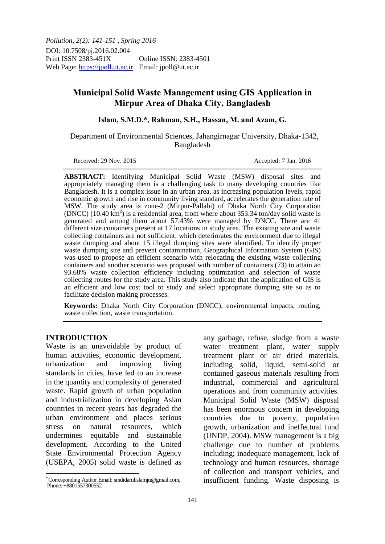*Pollution, 2(2): 141-151 , Spring 2016* DOI: 10.7508/pj.2016.02.004 Print ISSN 2383-451X Online ISSN: 2383-4501 Web Page: https://jpoll.ut.ac.ir Email: jpoll@ut.ac.ir

# **Municipal Solid Waste Management using GIS Application in Mirpur Area of Dhaka City, Bangladesh**

### **Islam, S.M.D.\*, Rahman, S.H., Hassan, M. and Azam, G.**

 Department of Environmental Sciences, Jahangirnagar University, Dhaka-1342, Bangladesh

Received: 29 Nov. 2015 **Accepted: 7 Jan. 2016** 

**ABSTRACT:** Identifying Municipal Solid Waste (MSW) disposal sites and appropriately managing them is a challenging task to many developing countries like Bangladesh. It is a complex issue in an urban area, as increasing population levels, rapid economic growth and rise in community living standard, accelerates the generation rate of MSW. The study area is zone-2 (Mirpur-Pallabi) of Dhaka North City Corporation  $(DNCC)$  (10.40 km<sup>2</sup>) is a residential area, from where about 353.34 ton/day solid waste is generated and among them about 57.43% were managed by DNCC. There are 41 different size containers present at 17 locations in study area. The existing site and waste collecting containers are not sufficient, which deteriorates the environment due to illegal waste dumping and about 15 illegal dumping sites were identified. To identify proper waste dumping site and prevent contamination, Geographical Information System (GIS) was used to propose an efficient scenario with relocating the existing waste collecting containers and another scenario was proposed with number of containers (73) to attain an 93.68% waste collection efficiency including optimization and selection of waste collecting routes for the study area. This study also indicate that the application of GIS is an efficient and low cost tool to study and select appropriate dumping site so as to facilitate decision making processes.

**Keywords:** Dhaka North City Corporation (DNCC), environmental impacts, routing, waste collection, waste transportation.

#### **INTRODUCTION**

 $\overline{\phantom{a}}$ 

Waste is an unavoidable by product of human activities, economic development, urbanization and improving living standards in cities, have led to an increase in the quantity and complexity of generated waste. Rapid growth of urban population and industrialization in developing Asian countries in recent years has degraded the urban environment and places serious stress on natural resources, which undermines equitable and sustainable development. According to the United State Environmental Protection Agency (USEPA, 2005) solid waste is defined as

any garbage, refuse, sludge from a waste water treatment plant, water supply treatment plant or air dried materials, including solid, liquid, semi-solid or contained gaseous materials resulting from industrial, commercial and agricultural operations and from community activities. Municipal Solid Waste (MSW) disposal has been enormous concern in developing countries due to poverty, population growth, urbanization and ineffectual fund (UNDP, 2004). MSW management is a big challenge due to number of problems including; inadequate management, lack of technology and human resources, shortage of collection and transport vehicles, and insufficient funding. Waste disposing is

<sup>\*</sup> Corresponding Author Email: smdidarulislamju@gmail.com, Phone: +8801557300552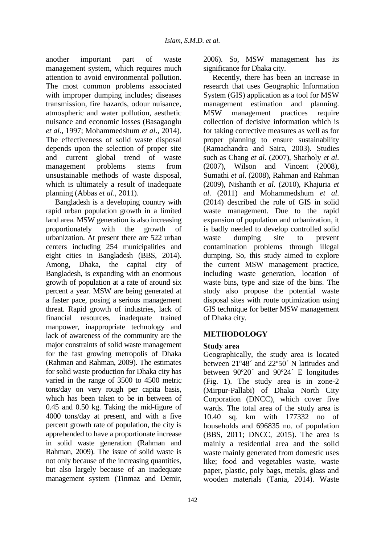another important part of waste management system, which requires much attention to avoid environmental pollution. The most common problems associated with improper dumping includes; diseases transmission, fire hazards, odour nuisance, atmospheric and water pollution, aesthetic nuisance and economic losses (Basagaoglu *et al*., 1997; Mohammedshum *et al*., 2014). The effectiveness of solid waste disposal depends upon the selection of proper site and current global trend of waste management problems stems from unsustainable methods of waste disposal, which is ultimately a result of inadequate planning (Abbas *et al*., 2011).

Bangladesh is a developing country with rapid urban population growth in a limited land area. MSW generation is also increasing proportionately with the growth of urbanization. At present there are 522 urban centers including 254 municipalities and eight cities in Bangladesh (BBS, 2014). Among, Dhaka, the capital city of Bangladesh, is expanding with an enormous growth of population at a rate of around six percent a year. MSW are being generated at a faster pace, posing a serious management threat. Rapid growth of industries, lack of financial resources, inadequate trained manpower, inappropriate technology and lack of awareness of the community are the major constraints of solid waste management for the fast growing metropolis of Dhaka (Rahman and Rahman, 2009). The estimates for solid waste production for Dhaka city has varied in the range of 3500 to 4500 metric tons/day on very rough per capita basis, which has been taken to be in between of 0.45 and 0.50 kg. Taking the mid-figure of 4000 tons/day at present, and with a five percent growth rate of population, the city is apprehended to have a proportionate increase in solid waste generation (Rahman and Rahman, 2009). The issue of solid waste is not only because of the increasing quantities, but also largely because of an inadequate management system (Tinmaz and Demir,

142

2006). So, MSW management has its significance for Dhaka city.

Recently, there has been an increase in research that uses Geographic Information System (GIS) application as a tool for MSW management estimation and planning. MSW management practices require collection of decisive information which is for taking corrective measures as well as for proper planning to ensure sustainability (Ramachandra and Saira, 2003). Studies such as Chang *et al*. (2007), Sharholy *et al*. (2007), Wilson and Vincent (2008), Sumathi *et al*. (2008), Rahman and Rahman (2009), Nishanth *et al*. (2010), Khajuria *et al*. (2011) and Mohammedshum *et al*. (2014) described the role of GIS in solid waste management. Due to the rapid expansion of population and urbanization, it is badly needed to develop controlled solid waste dumping site to prevent contamination problems through illegal dumping. So, this study aimed to explore the current MSW management practice, including waste generation, location of waste bins, type and size of the bins. The study also propose the potential waste disposal sites with route optimization using GIS technique for better MSW management of Dhaka city.

## **METHODOLOGY**

## **Study area**

Geographically, the study area is located between 21º48´ and 22º50´ N latitudes and between 90º20´ and 90º24´ E longitudes (Fig. 1). The study area is in zone-2 (Mirpur-Pallabi) of Dhaka North City Corporation (DNCC), which cover five wards. The total area of the study area is 10.40 sq. km with 177332 no of households and 696835 no. of population (BBS, 2011; DNCC, 2015). The area is mainly a residential area and the solid waste mainly generated from domestic uses like; food and vegetables waste, waste paper, plastic, poly bags, metals, glass and wooden materials (Tania, 2014). Waste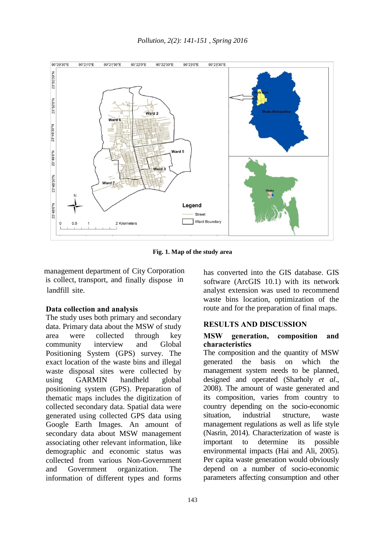

**Fig. 1. Map of the study area** 

management department of City Corporation is collect, transport, and finally dispose in landfill site.

#### **Data collection and analysis**

The study uses both primary and secondary data. Primary data about the MSW of study area were collected through key community interview and Global Positioning System (GPS) survey. The exact location of the waste bins and illegal waste disposal sites were collected by using GARMIN handheld global positioning system (GPS). Preparation of thematic maps includes the digitization of collected secondary data. Spatial data were generated using collected GPS data using Google Earth Images. An amount of secondary data about MSW management associating other relevant information, like demographic and economic status was collected from various Non-Government and Government organization. The information of different types and forms

has converted into the GIS database. GIS software (ArcGIS 10.1) with its network analyst extension was used to recommend waste bins location, optimization of the route and for the preparation of final maps.

#### **RESULTS AND DISCUSSION**

#### **MSW generation, composition and characteristics**

The composition and the quantity of MSW generated the basis on which the management system needs to be planned, designed and operated (Sharholy *et al*., 2008). The amount of waste generated and its composition, varies from country to country depending on the socio-economic situation, industrial structure, waste management regulations as well as life style (Nasrin, 2014). Characterization of waste is important to determine its possible environmental impacts (Hai and Ali, 2005). Per capita waste generation would obviously depend on a number of socio-economic parameters affecting consumption and other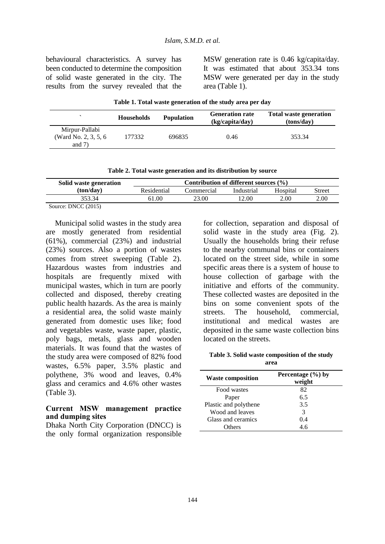behavioural characteristics. A survey has been conducted to determine the composition of solid waste generated in the city. The results from the survey revealed that the MSW generation rate is 0.46 kg/capita/day. It was estimated that about 353.34 tons MSW were generated per day in the study area (Table 1).

| Table 1. Total waste generation of the study area per day |  |
|-----------------------------------------------------------|--|
|-----------------------------------------------------------|--|

|                                                     | <b>Households</b> | <b>Population</b> | <b>Generation rate</b><br>(kg/capita/day) | <b>Total waste generation</b><br>(tons/day) |
|-----------------------------------------------------|-------------------|-------------------|-------------------------------------------|---------------------------------------------|
| Mirpur-Pallabi<br>(Ward No. 2, 3, 5, 6)<br>and $7)$ | 177332            | 696835            | 0.46                                      | 353.34                                      |

|  |  |  |  |  | Table 2. Total waste generation and its distribution by source |  |  |
|--|--|--|--|--|----------------------------------------------------------------|--|--|
|--|--|--|--|--|----------------------------------------------------------------|--|--|

| Solid waste generation | Contribution of different sources $(\% )$ |            |            |          |        |
|------------------------|-------------------------------------------|------------|------------|----------|--------|
| (ton/day)              | Residential                               | commercial | Industrial | Hospital | Street |
| 353 34                 | 61.00                                     | 23.00      | 12.00      | 2.00     | 2.00   |

Source: DNCC (2015)

Municipal solid wastes in the study area are mostly generated from residential (61%), commercial (23%) and industrial (23%) sources. Also a portion of wastes comes from street sweeping (Table 2). Hazardous wastes from industries and hospitals are frequently mixed with municipal wastes, which in turn are poorly collected and disposed, thereby creating public health hazards. As the area is mainly a residential area, the solid waste mainly generated from domestic uses like; food and vegetables waste, waste paper, plastic, poly bags, metals, glass and wooden materials. It was found that the wastes of the study area were composed of 82% food wastes, 6.5% paper, 3.5% plastic and polythene, 3% wood and leaves, 0.4% glass and ceramics and 4.6% other wastes (Table 3).

#### **Current MSW management practice and dumping sites**

Dhaka North City Corporation (DNCC) is the only formal organization responsible for collection, separation and disposal of solid waste in the study area (Fig. 2). Usually the households bring their refuse to the nearby communal bins or containers located on the street side, while in some specific areas there is a system of house to house collection of garbage with the initiative and efforts of the community. These collected wastes are deposited in the bins on some convenient spots of the streets. The household, commercial, institutional and medical wastes are deposited in the same waste collection bins located on the streets.

**Table 3. Solid waste composition of the study area**

| <b>Waste composition</b> | Percentage $(\% )$ by<br>weight |
|--------------------------|---------------------------------|
| Food wastes              | 82                              |
| Paper                    | 6.5                             |
| Plastic and polythene    | 3.5                             |
| Wood and leaves          | 3                               |
| Glass and ceramics       | 0.4                             |
| <b>Others</b>            | 4.6                             |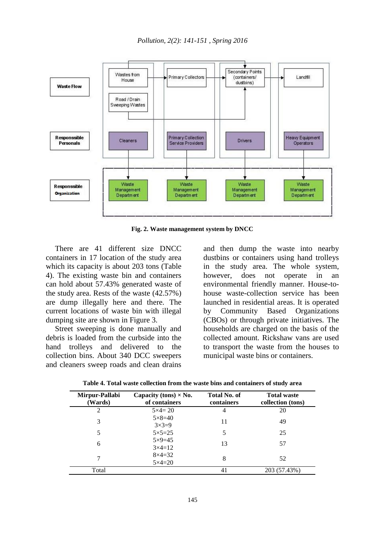

**Fig. 2. Waste management system by DNCC**

There are 41 different size DNCC containers in 17 location of the study area which its capacity is about 203 tons (Table 4). The existing waste bin and containers can hold about 57.43% generated waste of the study area. Rests of the waste (42.57%) are dump illegally here and there. The current locations of waste bin with illegal dumping site are shown in Figure 3.

Street sweeping is done manually and debris is loaded from the curbside into the hand trolleys and delivered to the collection bins. About 340 DCC sweepers and cleaners sweep roads and clean drains

and then dump the waste into nearby dustbins or containers using hand trolleys in the study area. The whole system, however, does not operate in an environmental friendly manner. House-tohouse waste-collection service has been launched in residential areas. It is operated by Community Based Organizations (CBOs) or through private initiatives. The households are charged on the basis of the collected amount. Rickshaw vans are used to transport the waste from the houses to municipal waste bins or containers.

| Table 4. Total waste collection from the waste bins and containers of study area |  |  |
|----------------------------------------------------------------------------------|--|--|
|----------------------------------------------------------------------------------|--|--|

| Mirpur-Pallabi<br>(Wards) | Capacity (tons) $\times$ No.<br>of containers | <b>Total No. of</b><br>containers | <b>Total waste</b><br>collection (tons) |
|---------------------------|-----------------------------------------------|-----------------------------------|-----------------------------------------|
|                           | $5 \times 4 = 20$                             | 4                                 | 20                                      |
| 3                         | $5 \times 8 = 40$<br>$3 \times 3 = 9$         | 11                                | 49                                      |
|                           | $5 \times 5 = 25$                             | 5                                 | 25                                      |
| 6                         | $5 \times 9 = 45$<br>$3 \times 4 = 12$        | 13                                | 57                                      |
| 7                         | $8\times4=32$<br>$5 \times 4 = 20$            | 8                                 | 52                                      |
| Total                     |                                               | 41                                | 203 (57.43%)                            |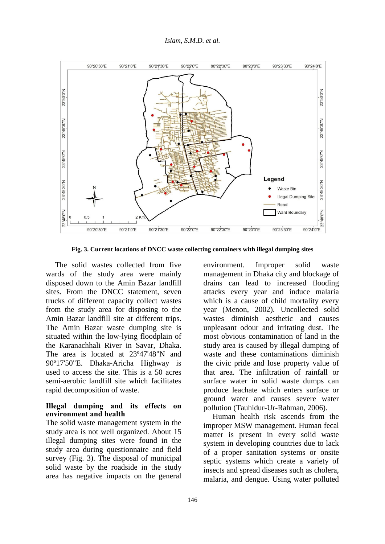

**Fig. 3. Current locations of DNCC waste collecting containers with illegal dumping sites**

The solid wastes collected from five wards of the study area were mainly disposed down to the Amin Bazar landfill sites. From the DNCC statement, seven trucks of different capacity collect wastes from the study area for disposing to the Amin Bazar landfill site at different trips. The Amin Bazar waste dumping site is situated within the low-lying floodplain of the Karanachhali River in Savar, Dhaka. The area is located at 23º47'48"N and 90º17'50"E. Dhaka-Aricha Highway is used to access the site. This is a 50 acres semi-aerobic landfill site which facilitates rapid decomposition of waste.

### **Illegal dumping and its effects on environment and health**

The solid waste management system in the study area is not well organized. About 15 illegal dumping sites were found in the study area during questionnaire and field survey (Fig. 3). The disposal of municipal solid waste by the roadside in the study area has negative impacts on the general environment. Improper solid waste management in Dhaka city and blockage of drains can lead to increased flooding attacks every year and induce malaria which is a cause of child mortality every year (Menon, 2002). Uncollected solid wastes diminish aesthetic and causes unpleasant odour and irritating dust. The most obvious contamination of land in the study area is caused by illegal dumping of waste and these contaminations diminish the civic pride and lose property value of that area. The infiltration of rainfall or surface water in solid waste dumps can produce leachate which enters surface or ground water and causes severe water pollution (Tauhidur-Ur-Rahman, 2006).

Human health risk ascends from the improper MSW management. Human fecal matter is present in every solid waste system in developing countries due to lack of a proper sanitation systems or onsite septic systems which create a variety of insects and spread diseases such as cholera, malaria, and dengue. Using water polluted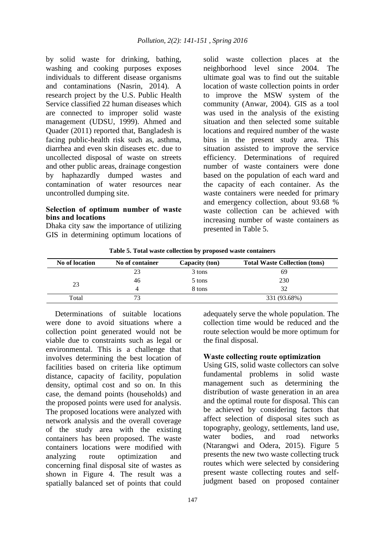by solid waste for drinking, bathing, washing and cooking purposes exposes individuals to different disease organisms and contaminations (Nasrin, 2014). A research project by the U.S. Public Health Service classified 22 human diseases which are connected to improper solid waste management (UDSU, 1999). Ahmed and Quader (2011) reported that, Bangladesh is facing public-health risk such as, asthma, diarrhea and even skin diseases etc. due to uncollected disposal of waste on streets and other public areas, drainage congestion by haphazardly dumped wastes and contamination of water resources near uncontrolled dumping site.

### **Selection of optimum number of waste bins and locations**

Dhaka city saw the importance of utilizing GIS in determining optimum locations of solid waste collection places at the neighborhood level since 2004. The ultimate goal was to find out the suitable location of waste collection points in order to improve the MSW system of the community (Anwar, 2004). GIS as a tool was used in the analysis of the existing situation and then selected some suitable locations and required number of the waste bins in the present study area. This situation assisted to improve the service efficiency. Determinations of required number of waste containers were done based on the population of each ward and the capacity of each container. As the waste containers were needed for primary and emergency collection, about 93.68 % waste collection can be achieved with increasing number of waste containers as presented in Table 5.

**No of location No of container Capacity (ton) Total Waste Collection (tons)** 23 23 3 tons 69 46 5 tons 230 4 8 tons 32 Total 73 331 (93.68%)

**Table 5. Total waste collection by proposed waste containers**

Determinations of suitable locations were done to avoid situations where a collection point generated would not be viable due to constraints such as legal or environmental. This is a challenge that involves determining the best location of facilities based on criteria like optimum distance, capacity of facility, population density, optimal cost and so on. In this case, the demand points (households) and the proposed points were used for analysis. The proposed locations were analyzed with network analysis and the overall coverage of the study area with the existing containers has been proposed. The waste containers locations were modified with analyzing route optimization and concerning final disposal site of wastes as shown in Figure 4. The result was a spatially balanced set of points that could

management such as determining the distribution of waste generation in an area

the final disposal.

and the optimal route for disposal. This can be achieved by considering factors that affect selection of disposal sites such as topography, geology, settlements, land use, water bodies, and road networks (Ntarangwi and Odera, 2015). Figure 5 presents the new two waste collecting truck routes which were selected by considering present waste collecting routes and selfjudgment based on proposed container

adequately serve the whole population. The collection time would be reduced and the route selection would be more optimum for

**Waste collecting route optimization** Using GIS, solid waste collectors can solve fundamental problems in solid waste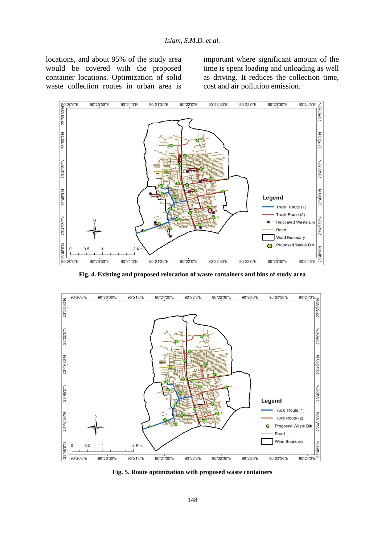locations, and about 95% of the study area would be covered with the proposed container locations. Optimization of solid waste collection routes in urban area is important where significant amount of the time is spent loading and unloading as well as driving. It reduces the collection time, cost and air pollution emission.



**Fig. 4. Existing and proposed relocation of waste containers and bins of study area**



**Fig. 5. Route optimization with proposed waste containers**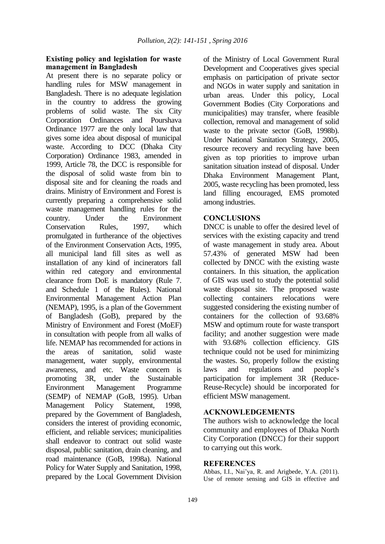#### **Existing policy and legislation for waste management in Bangladesh**

At present there is no separate policy or handling rules for MSW management in Bangladesh. There is no adequate legislation in the country to address the growing problems of solid waste. The six City Corporation Ordinances and Pourshava Ordinance 1977 are the only local law that gives some idea about disposal of municipal waste. According to DCC (Dhaka City Corporation) Ordinance 1983, amended in 1999, Article 78, the DCC is responsible for the disposal of solid waste from bin to disposal site and for cleaning the roads and drains. Ministry of Environment and Forest is currently preparing a comprehensive solid waste management handling rules for the country. Under the Environment Conservation Rules, 1997, which promulgated in furtherance of the objectives of the Environment Conservation Acts, 1995, all municipal land fill sites as well as installation of any kind of incinerators fall within red category and environmental clearance from DoE is mandatory (Rule 7. and Schedule 1 of the Rules). National Environmental Management Action Plan (NEMAP), 1995, is a plan of the Government of Bangladesh (GoB), prepared by the Ministry of Environment and Forest (MoEF) in consultation with people from all walks of life. NEMAP has recommended for actions in the areas of sanitation, solid waste management, water supply, environmental awareness, and etc. Waste concern is promoting 3R, under the Sustainable Environment Management Programme (SEMP) of NEMAP (GoB, 1995). Urban Management Policy Statement, 1998, prepared by the Government of Bangladesh, considers the interest of providing economic, efficient, and reliable services; municipalities shall endeavor to contract out solid waste disposal, public sanitation, drain cleaning, and road maintenance (GoB, 1998a). National Policy for Water Supply and Sanitation, 1998, prepared by the Local Government Division

of the Ministry of Local Government Rural Development and Cooperatives gives special emphasis on participation of private sector and NGOs in water supply and sanitation in urban areas. Under this policy, Local Government Bodies (City Corporations and municipalities) may transfer, where feasible collection, removal and management of solid waste to the private sector (GoB, 1998b). Under National Sanitation Strategy, 2005, resource recovery and recycling have been given as top priorities to improve urban sanitation situation instead of disposal. Under Dhaka Environment Management Plant, 2005, waste recycling has been promoted, less land filling encouraged, EMS promoted among industries.

### **CONCLUSIONS**

DNCC is unable to offer the desired level of services with the existing capacity and trend of waste management in study area. About 57.43% of generated MSW had been collected by DNCC with the existing waste containers. In this situation, the application of GIS was used to study the potential solid waste disposal site. The proposed waste collecting containers relocations were suggested considering the existing number of containers for the collection of 93.68% MSW and optimum route for waste transport facility; and another suggestion were made with 93.68% collection efficiency. GIS technique could not be used for minimizing the wastes. So, properly follow the existing laws and regulations and people's participation for implement 3R (Reduce-Reuse-Recycle) should be incorporated for efficient MSW management.

#### **ACKNOWLEDGEMENTS**

The authors wish to acknowledge the local community and employees of Dhaka North City Corporation (DNCC) for their support to carrying out this work.

#### **REFERENCES**

Abbas, I.I., Nai'ya, R. and Arigbede, Y.A. (2011). Use of remote sensing and GIS in effective and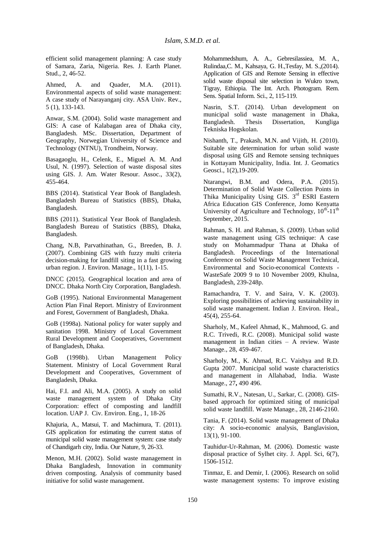efficient solid management planning: A case study of Samara, Zaria, Nigeria. Res. J. Earth Planet. Stud., 2, 46-52.

Ahmed, A. and Quader, M.A. (2011). Environmental aspects of solid waste management: A case study of Narayanganj city. ASA Univ. Rev., 5 (1), 133-143.

Anwar, S.M. (2004). Solid waste management and GIS: A case of Kalabagan area of Dhaka city, Bangladesh. MSc. Dissertation, Department of Geography, Norwegian University of Science and Technology (NTNU), Trondheim, Norway.

Basagaoglu, H., Celenk, E., Miguel A. M. And Usul, N. (1997). Selection of waste disposal sites using GIS. J. Am. Water Resour. Assoc., 33(2), 455-464.

BBS (2014). Statistical Year Book of Bangladesh. Bangladesh Bureau of Statistics (BBS), Dhaka, Bangladesh.

BBS (2011). Statistical Year Book of Bangladesh. Bangladesh Bureau of Statistics (BBS), Dhaka, Bangladesh.

Chang, N.B, Parvathinathan, G., Breeden, B. J. (2007). Combining GIS with fuzzy multi criteria decision-making for landfill siting in a fast growing urban region. J. Environ. Manage., 1(11), 1-15.

DNCC (2015). Geographical location and area of DNCC. Dhaka North City Corporation, Bangladesh.

GoB (1995). National Environmental Management Action Plan Final Report. Ministry of Environment and Forest, Government of Bangladesh, Dhaka.

GoB (1998a). National policy for water supply and sanitation 1998. Ministry of Local Government Rural Development and Cooperatives, Government of Bangladesh, Dhaka.

GoB (1998b). Urban Management Policy Statement. Ministry of Local Government Rural Development and Cooperatives, Government of Bangladesh, Dhaka.

Hai, F.I. and Ali, M.A. (2005). A study on solid waste management system of Dhaka City Corporation: effect of composting and landfill location. UAP J. Civ. Environ. Eng., 1, 18-26

Khajuria, A., Matsui, T. and Machimura, T. (2011). GIS application for estimating the current status of municipal solid waste management system: case study of Chandigarh city, India. Our Nature, 9, 26-33.

Menon, M.H. (2002). Solid waste management in Dhaka Bangladesh, Innovation in community driven composting. Analysis of community based initiative for solid waste management.

Mohammedshum, A. A., Gebresilassiea, M. A., Rulindaa,C. M., Kahsaya, G. H.,Tesfay, M. S.,(2014). Application of GIS and Remote Sensing in effective solid waste disposal site selection in Wukro town, Tigray, Ethiopia. The Int. Arch. Photogram. Rem. Sens. Spatial Inform. Sci., 2, 115-119.

Nasrin, S.T. (2014). Urban development on municipal solid waste management in Dhaka, Bangladesh. Thesis Dissertation, Kungliga Tekniska Hogskolan.

Nishanth, T., Prakash, M.N. and Vijith, H. (2010). Suitable site determination for urban solid waste disposal using GIS and Remote sensing techniques in Kottayam Municipality, India. Int. J. Geomatics Geosci., 1(2),19-209.

Ntarangwi, B.M. and Odera, P.A. (2015). Determination of Solid Waste Collection Points in Thika Municipality Using GIS. 3<sup>rd</sup> ESRI Eastern Africa Education GIS Conference, Jomo Kenyatta University of Agriculture and Technology,  $10^{th}$ - $11^{th}$ September, 2015.

Rahman, S. H. and Rahman, S. (2009). Urban solid waste management using GIS technique: A case study on Mohammadpur Thana at Dhaka of Bangladesh. Proceedings of the International Conference on Solid Waste Management Technical, Environmental and Socio-economical Contexts - WasteSafe 2009 9 to 10 November 2009, Khulna, Bangladesh, 239-248p.

Ramachandra, T. V. and Saira, V. K. (2003). Exploring possibilities of achieving sustainability in solid waste management. Indian J. Environ. Heal., 45(4), 255-64.

Sharholy, M., Kafeel Ahmad, K., Mahmood, G. and R.C. Trivedi, R.C. (2008). Municipal solid waste management in Indian cities – A review. Waste Manage., 28, 459-467.

Sharholy, M., K. Ahmad, R.C. Vaishya and R.D. Gupta 2007. Municipal solid waste characteristics and management in Allahabad, India. Waste Manage., 27**,** 490 496.

Sumathi, R.V., Natesan, U., Sarkar, C. (2008). GISbased approach for optimized siting of municipal solid waste landfill. Waste Manage., 28, 2146-2160.

Tania, F. (2014). Solid waste management of Dhaka city: A socio-economic analysis, Banglavision, 13(1), 91-100.

Tauhidur-Ur-Rahman, M. (2006). Domestic waste disposal practice of Sylhet city. J. Appl. Sci, 6(7), 1506-1512.

Tinmaz, E. and Demir, I. (2006). Research on solid waste management systems: To improve existing